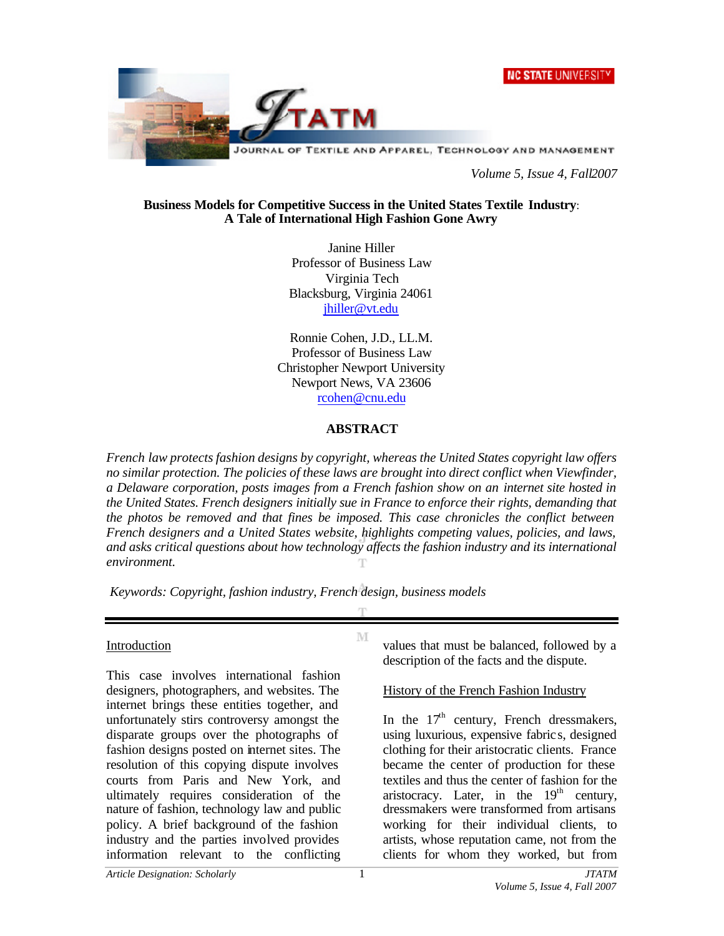



*Volume 5, Issue 4, Fall2007*

#### **Business Models for Competitive Success in the United States Textile Industry**: **A Tale of International High Fashion Gone Awry**

Janine Hiller Professor of Business Law Virginia Tech Blacksburg, Virginia 24061 jhiller@vt.edu

Ronnie Cohen, J.D., LL.M. Professor of Business Law Christopher Newport University Newport News, VA 23606 rcohen@cnu.edu

### **ABSTRACT**

*French law protects fashion designs by copyright, whereas the United States copyright law offers no similar protection. The policies of these laws are brought into direct conflict when Viewfinder, a Delaware corporation, posts images from a French fashion show on an internet site hosted in the United States. French designers initially sue in France to enforce their rights, demanding that the photos be removed and that fines be imposed. This case chronicles the conflict between French designers and a United States website, highlights competing values, policies, and laws, and asks critical questions about how technology affects the fashion industry and its international environment.* 

M

*Keywords: Copyright, fashion industry, French design, business models*

#### Introduction

This case involves international fashion designers, photographers, and websites. The internet brings these entities together, and unfortunately stirs controversy amongst the disparate groups over the photographs of fashion designs posted on internet sites. The resolution of this copying dispute involves courts from Paris and New York, and ultimately requires consideration of the nature of fashion, technology law and public policy. A brief background of the fashion industry and the parties involved provides information relevant to the conflicting

values that must be balanced, followed by a description of the facts and the dispute.

History of the French Fashion Industry

In the  $17<sup>th</sup>$  century, French dressmakers, using luxurious, expensive fabric s, designed clothing for their aristocratic clients. France became the center of production for these textiles and thus the center of fashion for the aristocracy. Later, in the  $19<sup>th</sup>$  century, dressmakers were transformed from artisans working for their individual clients, to artists, whose reputation came, not from the clients for whom they worked, but from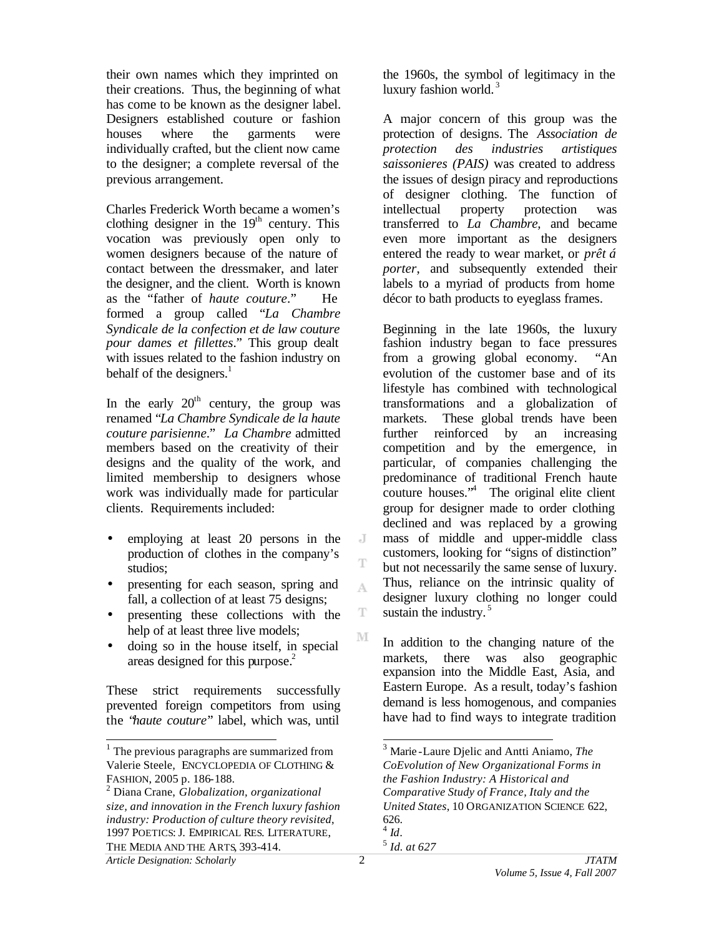their own names which they imprinted on their creations. Thus, the beginning of what has come to be known as the designer label. Designers established couture or fashion houses where the garments were individually crafted, but the client now came to the designer; a complete reversal of the previous arrangement.

Charles Frederick Worth became a women's clothing designer in the  $19<sup>th</sup>$  century. This vocation was previously open only to women designers because of the nature of contact between the dressmaker, and later the designer, and the client. Worth is known as the "father of *haute couture*." He formed a group called "*La Chambre Syndicale de la confection et de law couture pour dames et fillettes*." This group dealt with issues related to the fashion industry on behalf of the designers. $<sup>1</sup>$ </sup>

In the early  $20<sup>th</sup>$  century, the group was renamed "*La Chambre Syndicale de la haute couture parisienne*." *La Chambre* admitted members based on the creativity of their designs and the quality of the work, and limited membership to designers whose work was individually made for particular clients. Requirements included:

- employing at least 20 persons in the production of clothes in the company's studios;
- presenting for each season, spring and fall, a collection of at least 75 designs;
- presenting these collections with the help of at least three live models;
- doing so in the house itself, in special areas designed for this purpose. 2

These strict requirements successfully prevented foreign competitors from using the "*haute couture*" label, which was, until

*Article Designation: Scholarly JTATM*

l

the 1960s, the symbol of legitimacy in the luxury fashion world.<sup>3</sup>

A major concern of this group was the protection of designs. The *Association de protection des industries artistiques saissonieres (PAIS)* was created to address the issues of design piracy and reproductions of designer clothing. The function of intellectual property protection was transferred to *La Chambre,* and became even more important as the designers entered the ready to wear market, or *prêt á porter*, and subsequently extended their labels to a myriad of products from home décor to bath products to eyeglass frames.

Beginning in the late 1960s, the luxury fashion industry began to face pressures from a growing global economy. "An evolution of the customer base and of its lifestyle has combined with technological transformations and a globalization of markets. These global trends have been further reinforced by an increasing competition and by the emergence, in particular, of companies challenging the predominance of traditional French haute couture houses."<sup>4</sup> The original elite client group for designer made to order clothing declined and was replaced by a growing mass of middle and upper-middle class customers, looking for "signs of distinction" but not necessarily the same sense of luxury. Thus, reliance on the intrinsic quality of designer luxury clothing no longer could sustain the industry.<sup>5</sup>

In addition to the changing nature of the markets, there was also geographic expansion into the Middle East, Asia, and Eastern Europe. As a result, today's fashion demand is less homogenous, and companies have had to find ways to integrate tradition

 $\overline{a}$ 

J Ŧ

A

T

<sup>&</sup>lt;sup>1</sup> The previous paragraphs are summarized from Valerie Steele, ENCYCLOPEDIA OF CLOTHING & FASHION, 2005 p. 186-188.

<sup>2</sup> Diana Crane, *Globalization, organizational size, and innovation in the French luxury fashion industry: Production of culture theory revisited*, 1997 POETICS:J. EMPIRICAL RES. LITERATURE, THE MEDIA AND THE ARTS, 393-414.

<sup>3</sup> Marie -Laure Djelic and Antti Aniamo, *The CoEvolution of New Organizational Forms in the Fashion Industry: A Historical and Comparative Study of France, Italy and the United States*, 10 ORGANIZATION SCIENCE 622, 626. 4 *Id.* 5 *Id. at 627*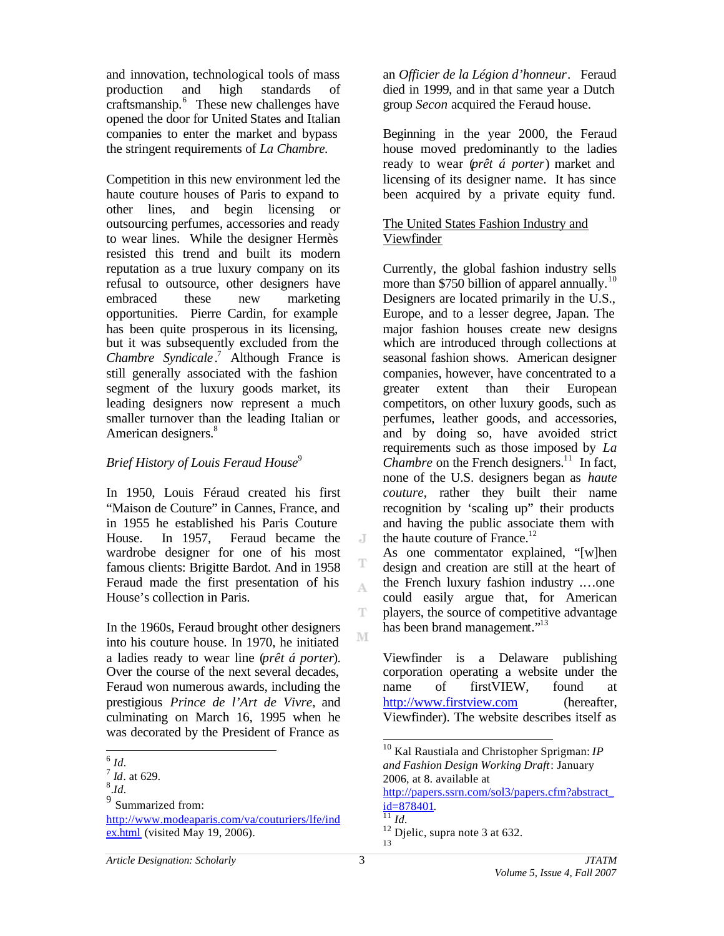and innovation, technological tools of mass production and high standards of craftsmanship.<sup>6</sup> These new challenges have opened the door for United States and Italian companies to enter the market and bypass the stringent requirements of *La Chambre.*

Competition in this new environment led the haute couture houses of Paris to expand to other lines, and begin licensing or outsourcing perfumes, accessories and ready to wear lines. While the designer Hermès resisted this trend and built its modern reputation as a true luxury company on its refusal to outsource, other designers have embraced these new marketing opportunities. Pierre Cardin, for example has been quite prosperous in its licensing, but it was subsequently excluded from the *Chambre Syndicale* . <sup>7</sup> Although France is still generally associated with the fashion segment of the luxury goods market, its leading designers now represent a much smaller turnover than the leading Italian or American designers.<sup>8</sup>

# *Brief History of Louis Feraud House*<sup>9</sup>

In 1950, Louis Féraud created his first "Maison de Couture" in Cannes, France, and in 1955 he established his Paris Couture House. In 1957, Feraud became the wardrobe designer for one of his most famous clients: Brigitte Bardot. And in 1958 Feraud made the first presentation of his House's collection in Paris.

In the 1960s, Feraud brought other designers into his couture house. In 1970, he initiated a ladies ready to wear line (*prêt á porter*). Over the course of the next several decades, Feraud won numerous awards, including the prestigious *Prince de l'Art de Vivre,* and culminating on March 16, 1995 when he was decorated by the President of France as

<sup>9</sup> Summarized from:

http://www.modeaparis.com/va/couturiers/lfe/ind ex.html (visited May 19, 2006).

an *Officier de la Légion d'honneur*. Feraud died in 1999, and in that same year a Dutch group *Secon* acquired the Feraud house.

Beginning in the year 2000, the Feraud house moved predominantly to the ladies ready to wear (*prêt á porter*) market and licensing of its designer name. It has since been acquired by a private equity fund.

# The United States Fashion Industry and Viewfinder

Currently, the global fashion industry sells more than \$750 billion of apparel annually.<sup>10</sup> Designers are located primarily in the U.S., Europe, and to a lesser degree, Japan. The major fashion houses create new designs which are introduced through collections at seasonal fashion shows. American designer companies, however, have concentrated to a greater extent than their European competitors, on other luxury goods, such as perfumes, leather goods, and accessories, and by doing so, have avoided strict requirements such as those imposed by *La Chambre* on the French designers.<sup>11</sup> In fact, none of the U.S. designers began as *haute couture*, rather they built their name recognition by 'scaling up" their products and having the public associate them with the haute couture of France. $^{12}$ 

As one commentator explained, "[w]hen design and creation are still at the heart of the French luxury fashion industry .…one could easily argue that, for American players, the source of competitive advantage has been brand management."<sup>13</sup>

Viewfinder is a Delaware publishing corporation operating a website under the name of firstVIEW, found at http://www.firstview.com (hereafter, Viewfinder). The website describes itself as

http://papers.ssrn.com/sol3/papers.cfm?abstract\_ id=878401.

 $\overline{J}$ 

T A

T

 6 *Id.*

<sup>7</sup> *Id*. at 629.

<sup>8</sup> .*Id.*

l <sup>10</sup> Kal Raustiala and Christopher Sprigman: *IP and Fashion Design Working Draft*: January 2006, at 8. available at

 $\frac{1}{11}$ *Id.* 

<sup>&</sup>lt;sup>12</sup> Djelic, supra note 3 at 632. 13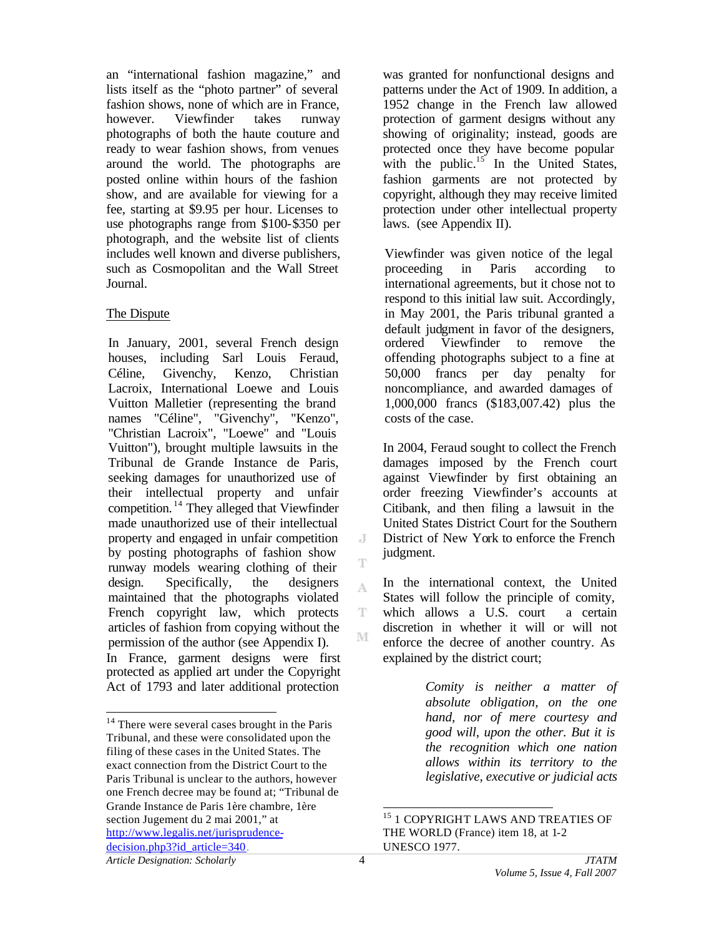an "international fashion magazine," and lists itself as the "photo partner" of several fashion shows, none of which are in France, however. Viewfinder takes runway photographs of both the haute couture and ready to wear fashion shows, from venues around the world. The photographs are posted online within hours of the fashion show, and are available for viewing for a fee, starting at \$9.95 per hour. Licenses to use photographs range from \$100-\$350 per photograph, and the website list of clients includes well known and diverse publishers, such as Cosmopolitan and the Wall Street Journal.

#### The Dispute

In January, 2001, several French design houses, including Sarl Louis Feraud, Céline, Givenchy, Kenzo, Christian Lacroix, International Loewe and Louis Vuitton Malletier (representing the brand names "Céline", "Givenchy", "Kenzo", "Christian Lacroix", "Loewe" and "Louis Vuitton"), brought multiple lawsuits in the Tribunal de Grande Instance de Paris, seeking damages for unauthorized use of their intellectual property and unfair competition. <sup>14</sup> They alleged that Viewfinder made unauthorized use of their intellectual property and engaged in unfair competition by posting photographs of fashion show runway models wearing clothing of their design. Specifically, the designers maintained that the photographs violated French copyright law, which protects articles of fashion from copying without the permission of the author (see Appendix I). In France, garment designs were first protected as applied art under the Copyright Act of 1793 and later additional protection

was granted for nonfunctional designs and patterns under the Act of 1909. In addition, a 1952 change in the French law allowed protection of garment designs without any showing of originality; instead, goods are protected once they have become popular with the public.<sup>15</sup> In the United States, fashion garments are not protected by copyright, although they may receive limited protection under other intellectual property laws. (see Appendix II).

Viewfinder was given notice of the legal proceeding in Paris according to international agreements, but it chose not to respond to this initial law suit. Accordingly, in May 2001, the Paris tribunal granted a default judgment in favor of the designers, ordered Viewfinder to remove the offending photographs subject to a fine at 50,000 francs per day penalty for noncompliance, and awarded damages of 1,000,000 francs (\$183,007.42) plus the costs of the case.

In 2004, Feraud sought to collect the French damages imposed by the French court against Viewfinder by first obtaining an order freezing Viewfinder's accounts at Citibank, and then filing a lawsuit in the United States District Court for the Southern District of New York to enforce the French judgment.

In the international context, the United States will follow the principle of comity, which allows a U.S. court a certain discretion in whether it will or will not enforce the decree of another country. As explained by the district court;

> *Comity is neither a matter of absolute obligation, on the one hand, nor of mere courtesy and good will, upon the other. But it is the recognition which one nation allows within its territory to the legislative, executive or judicial acts*

l

 $\overline{J}$ 

T

A

T M

l

 $14$  There were several cases brought in the Paris Tribunal, and these were consolidated upon the filing of these cases in the United States. The exact connection from the District Court to the Paris Tribunal is unclear to the authors, however one French decree may be found at; "Tribunal de Grande Instance de Paris 1ère chambre, 1ère section Jugement du 2 mai 2001," at http://www.legalis.net/jurisprudencedecision.php3?id\_article=340.

 $^{15}$  1 COPYRIGHT LAWS AND TREATIES OF THE WORLD (France) item 18, at 1-2 UNESCO 1977.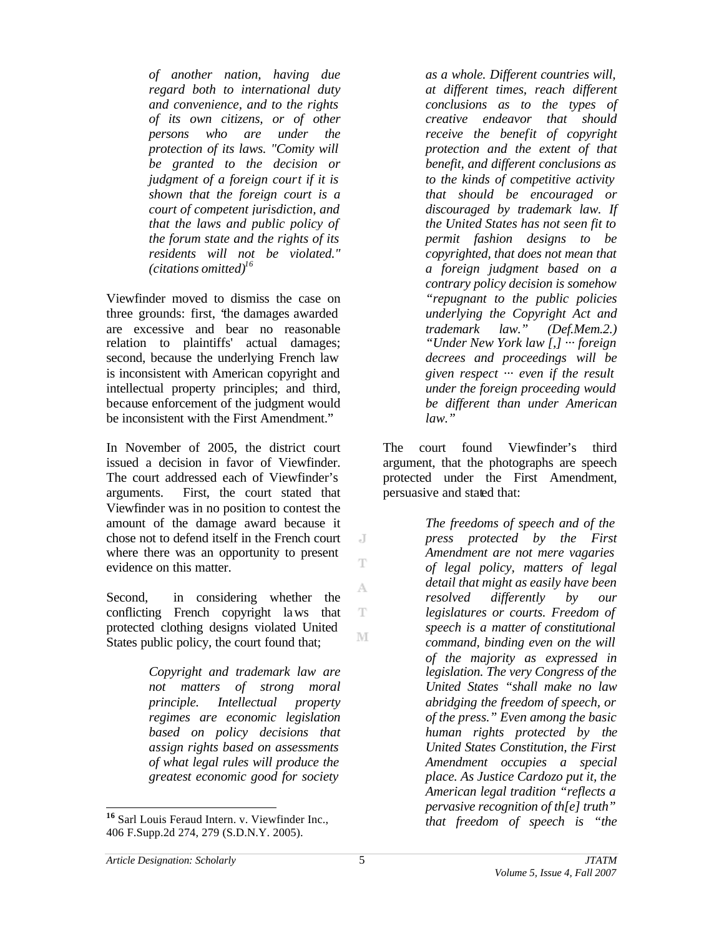*of another nation, having due regard both to international duty and convenience, and to the rights of its own citizens, or of other persons who are under the protection of its laws. "Comity will be granted to the decision or judgment of a foreign court if it is shown that the foreign court is a court of competent jurisdiction, and that the laws and public policy of the forum state and the rights of its residents will not be violated." (citations omitted)<sup>16</sup>* 

Viewfinder moved to dismiss the case on three grounds: first, "the damages awarded are excessive and bear no reasonable relation to plaintiffs' actual damages; second, because the underlying French law is inconsistent with American copyright and intellectual property principles; and third, because enforcement of the judgment would be inconsistent with the First Amendment."

In November of 2005, the district court issued a decision in favor of Viewfinder. The court addressed each of Viewfinder's arguments. First, the court stated that Viewfinder was in no position to contest the amount of the damage award because it chose not to defend itself in the French court where there was an opportunity to present evidence on this matter.

Second, in considering whether the conflicting French copyright laws that protected clothing designs violated United States public policy, the court found that;

> *Copyright and trademark law are not matters of strong moral principle. Intellectual property regimes are economic legislation based on policy decisions that assign rights based on assessments of what legal rules will produce the greatest economic good for society*

*as a whole. Different countries will, at different times, reach different conclusions as to the types of creative endeavor that should receive the benefit of copyright protection and the extent of that benefit, and different conclusions as to the kinds of competitive activity that should be encouraged or discouraged by trademark law. If the United States has not seen fit to permit fashion designs to be copyrighted, that does not mean that a foreign judgment based on a contrary policy decision is somehow "repugnant to the public policies underlying the Copyright Act and trademark law." (Def.Mem.2.) "Under New York law [,] ··· foreign decrees and proceedings will be given respect ··· even if the result under the foreign proceeding would be different than under American law."* 

The court found Viewfinder's third argument, that the photographs are speech protected under the First Amendment, persuasive and stated that:

> *The freedoms of speech and of the press protected by the First Amendment are not mere vagaries of legal policy, matters of legal detail that might as easily have been resolved differently by our legislatures or courts. Freedom of speech is a matter of constitutional command, binding even on the will of the majority as expressed in legislation. The very Congress of the United States "shall make no law abridging the freedom of speech, or of the press." Even among the basic human rights protected by the United States Constitution, the First Amendment occupies a special place. As Justice Cardozo put it, the American legal tradition "reflects a pervasive recognition of th[e] truth" that freedom of speech is "the*

l

 $\overline{J}$ Ŧ

A

T M

**<sup>16</sup>** Sarl Louis Feraud Intern. v. Viewfinder Inc., 406 F.Supp.2d 274, 279 (S.D.N.Y. 2005).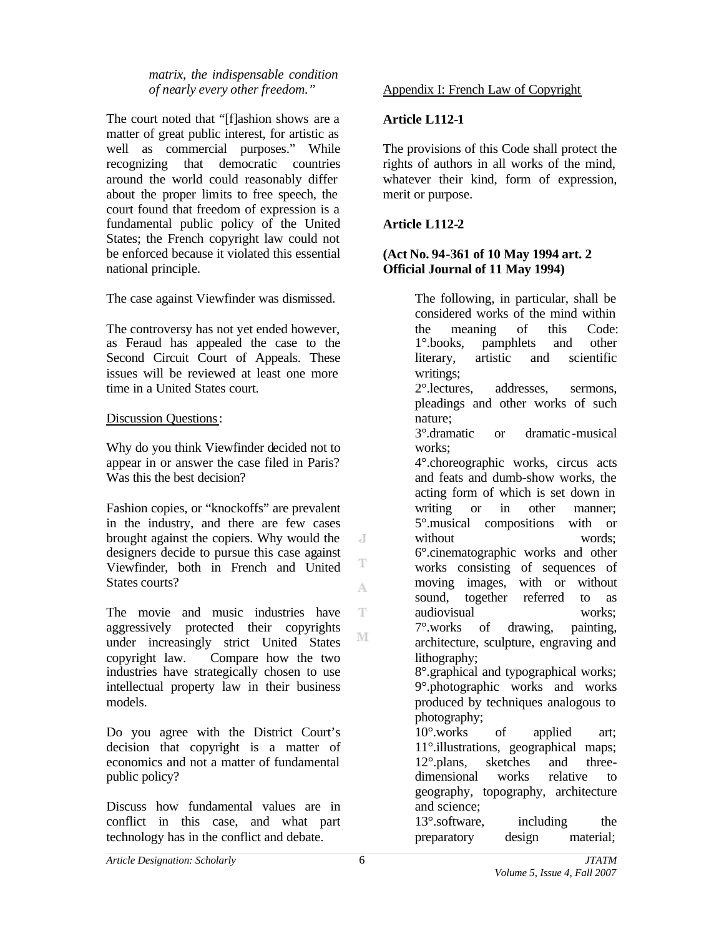*matrix, the indispensable condition of nearly every other freedom."*

The court noted that "[f]ashion shows are a matter of great public interest, for artistic as well as commercial purposes." While recognizing that democratic countries around the world could reasonably differ about the proper limits to free speech, the court found that freedom of expression is a fundamental public policy of the United States; the French copyright law could not be enforced because it violated this essential national principle.

The case against Viewfinder was dismissed.

The controversy has not yet ended however, as Feraud has appealed the case to the Second Circuit Court of Appeals. These issues will be reviewed at least one more time in a United States court.

## Discussion Questions:

Why do you think Viewfinder decided not to appear in or answer the case filed in Paris? Was this the best decision?

Fashion copies, or "knockoffs" are prevalent in the industry, and there are few cases brought against the copiers. Why would the designers decide to pursue this case against Viewfinder, both in French and United States courts?

The movie and music industries have aggressively protected their copyrights under increasingly strict United States copyright law. Compare how the two industries have strategically chosen to use intellectual property law in their business models.

Do you agree with the District Court's decision that copyright is a matter of economics and not a matter of fundamental public policy?

Discuss how fundamental values are in conflict in this case, and what part technology has in the conflict and debate.

### Appendix I: French Law of Copyright

### **Article L112-1**

The provisions of this Code shall protect the rights of authors in all works of the mind, whatever their kind, form of expression, merit or purpose.

# **Article L112-2**

### **(Act No. 94-361 of 10 May 1994 art. 2 Official Journal of 11 May 1994)**

The following, in particular, shall be considered works of the mind within the meaning of this Code: 1°.books, pamphlets and other literary, artistic and scientific writings; 2°.lectures, addresses, sermons, pleadings and other works of such nature; 3°.dramatic or dramatic -musical works: 4°.choreographic works, circus acts and feats and dumb-show works, the acting form of which is set down in writing or in other manner; 5°.musical compositions with or without words: 6°.cinematographic works and other works consisting of sequences of moving images, with or without sound, together referred to as audiovisual works; 7°.works of drawing, painting, architecture, sculpture, engraving and lithography; 8°.graphical and typographical works; 9°.photographic works and works produced by techniques analogous to photography; 10°.works of applied art; 11°.illustrations, geographical maps; 12°.plans, sketches and threedimensional works relative to geography, topography, architecture and science; 13°.software, including the preparatory design material;

 $\overline{J}$ 

T

A

T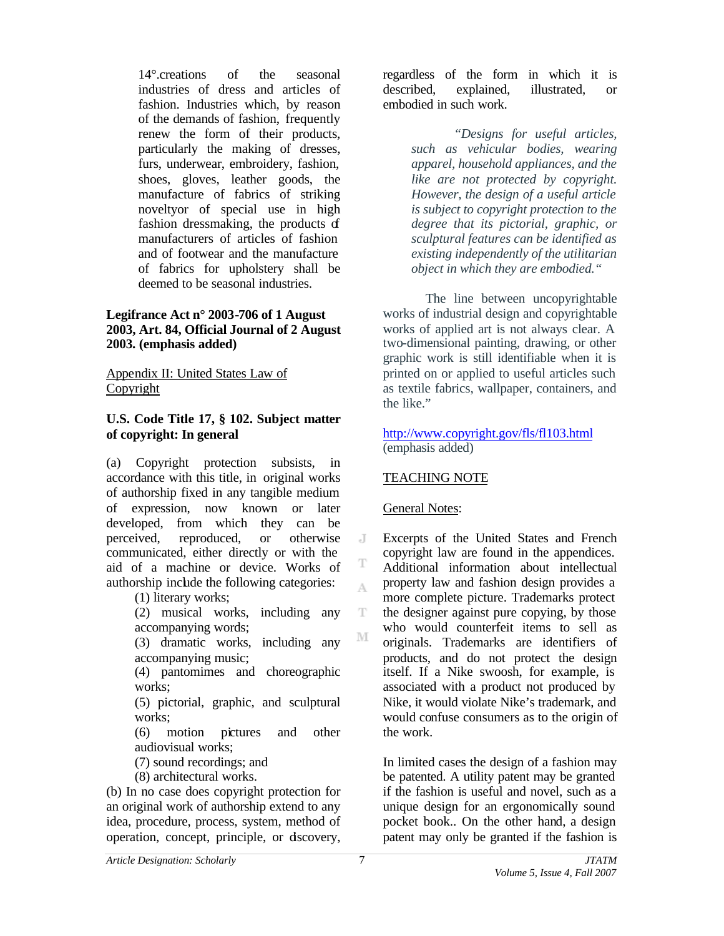14°.creations of the seasonal industries of dress and articles of fashion. Industries which, by reason of the demands of fashion, frequently renew the form of their products, particularly the making of dresses, furs, underwear, embroidery, fashion, shoes, gloves, leather goods, the manufacture of fabrics of striking noveltyor of special use in high fashion dressmaking, the products of manufacturers of articles of fashion and of footwear and the manufacture of fabrics for upholstery shall be deemed to be seasonal industries.

### **Legifrance Act n° 2003-706 of 1 August 2003, Art. 84, Official Journal of 2 August 2003. (emphasis added)**

Appendix II: United States Law of Copyright

## **U.S. Code Title 17, § 102. Subject matter of copyright: In general**

(a) Copyright protection subsists, in accordance with this title, in original works of authorship fixed in any tangible medium of expression, now known or later developed, from which they can be perceived, reproduced, or otherwise communicated, either directly or with the aid of a machine or device. Works of authorship include the following categories:

(1) literary works;

(2) musical works, including any accompanying words;

(3) dramatic works, including any accompanying music;

(4) pantomimes and choreographic works;

(5) pictorial, graphic, and sculptural works:

(6) motion pictures and other audiovisual works;

(7) sound recordings; and

(8) architectural works.

(b) In no case does copyright protection for an original work of authorship extend to any idea, procedure, process, system, method of operation, concept, principle, or discovery,

regardless of the form in which it is described, explained, illustrated, or embodied in such work.

> *"Designs for useful articles, such as vehicular bodies, wearing apparel, household appliances, and the like are not protected by copyright. However, the design of a useful article is subject to copyright protection to the degree that its pictorial, graphic, or sculptural features can be identified as existing independently of the utilitarian object in which they are embodied."*

The line between uncopyrightable works of industrial design and copyrightable works of applied art is not always clear. A two-dimensional painting, drawing, or other graphic work is still identifiable when it is printed on or applied to useful articles such as textile fabrics, wallpaper, containers, and the like."

#### http://www.copyright.gov/fls/fl103.html (emphasis added)

# TEACHING NOTE

## General Notes:

Excerpts of the United States and French copyright law are found in the appendices. Additional information about intellectual property law and fashion design provides a more complete picture. Trademarks protect the designer against pure copying, by those who would counterfeit items to sell as originals. Trademarks are identifiers of products, and do not protect the design itself. If a Nike swoosh, for example, is associated with a product not produced by Nike, it would violate Nike's trademark, and would confuse consumers as to the origin of the work.

In limited cases the design of a fashion may be patented. A utility patent may be granted if the fashion is useful and novel, such as a unique design for an ergonomically sound pocket book.. On the other hand, a design patent may only be granted if the fashion is

 $\overline{J}$ 

T A

T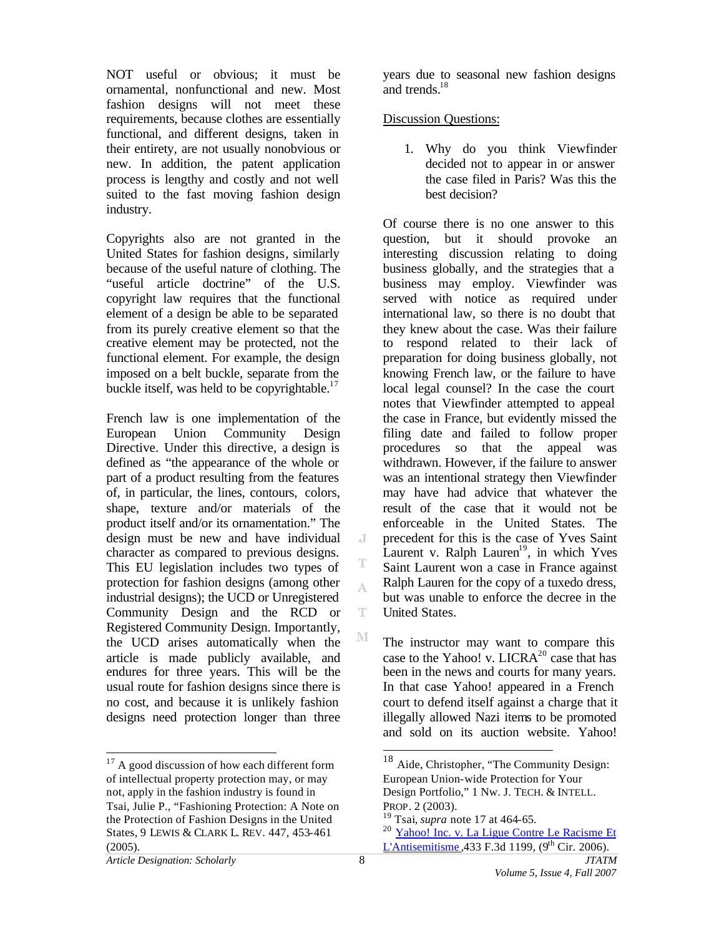NOT useful or obvious; it must be ornamental, nonfunctional and new. Most fashion designs will not meet these requirements, because clothes are essentially functional, and different designs, taken in their entirety, are not usually nonobvious or new. In addition, the patent application process is lengthy and costly and not well suited to the fast moving fashion design industry.

Copyrights also are not granted in the United States for fashion designs, similarly because of the useful nature of clothing. The "useful article doctrine" of the U.S. copyright law requires that the functional element of a design be able to be separated from its purely creative element so that the creative element may be protected, not the functional element. For example, the design imposed on a belt buckle, separate from the buckle itself, was held to be copyrightable.<sup>17</sup>

French law is one implementation of the European Union Community Design Directive. Under this directive, a design is defined as "the appearance of the whole or part of a product resulting from the features of, in particular, the lines, contours, colors, shape, texture and/or materials of the product itself and/or its ornamentation." The design must be new and have individual character as compared to previous designs. This EU legislation includes two types of protection for fashion designs (among other industrial designs); the UCD or Unregistered Community Design and the RCD or Registered Community Design. Importantly, the UCD arises automatically when the article is made publicly available, and endures for three years. This will be the usual route for fashion designs since there is no cost, and because it is unlikely fashion designs need protection longer than three

years due to seasonal new fashion designs and trends. $18$ 

### Discussion Questions:

1. Why do you think Viewfinder decided not to appear in or answer the case filed in Paris? Was this the best decision?

Of course there is no one answer to this question, but it should provoke an interesting discussion relating to doing business globally, and the strategies that a business may employ. Viewfinder was served with notice as required under international law, so there is no doubt that they knew about the case. Was their failure to respond related to their lack of preparation for doing business globally, not knowing French law, or the failure to have local legal counsel? In the case the court notes that Viewfinder attempted to appeal the case in France, but evidently missed the filing date and failed to follow proper procedures so that the appeal was withdrawn. However, if the failure to answer was an intentional strategy then Viewfinder may have had advice that whatever the result of the case that it would not be enforceable in the United States. The precedent for this is the case of Yves Saint Laurent v. Ralph Lauren<sup>19</sup>, in which Yves Saint Laurent won a case in France against Ralph Lauren for the copy of a tuxedo dress, but was unable to enforce the decree in the United States.

The instructor may want to compare this case to the Yahoo! v. LICR $A^{20}$  case that has been in the news and courts for many years. In that case Yahoo! appeared in a French court to defend itself against a charge that it illegally allowed Nazi items to be promoted and sold on its auction website. Yahoo!

l

 $\overline{J}$ 

T A

T

 $\overline{a}$  $17$  A good discussion of how each different form of intellectual property protection may, or may not, apply in the fashion industry is found in Tsai, Julie P., "Fashioning Protection: A Note on the Protection of Fashion Designs in the United States, 9 LEWIS & CLARK L. REV. 447, 453-461 (2005).

<sup>&</sup>lt;sup>18</sup> Aide, Christopher, "The Community Design: European Union-wide Protection for Your Design Portfolio," 1 Nw. J. TECH. & INTELL. PROP. 2 (2003).

<sup>19</sup> Tsai*, supra* note 17 at 464-65.

<sup>&</sup>lt;sup>20</sup> Yahoo! Inc. v. La Ligue Contre Le Racisme Et L'Antisemitisme ,433 F.3d 1199,  $(9<sup>th</sup> Cir. 2006)$ .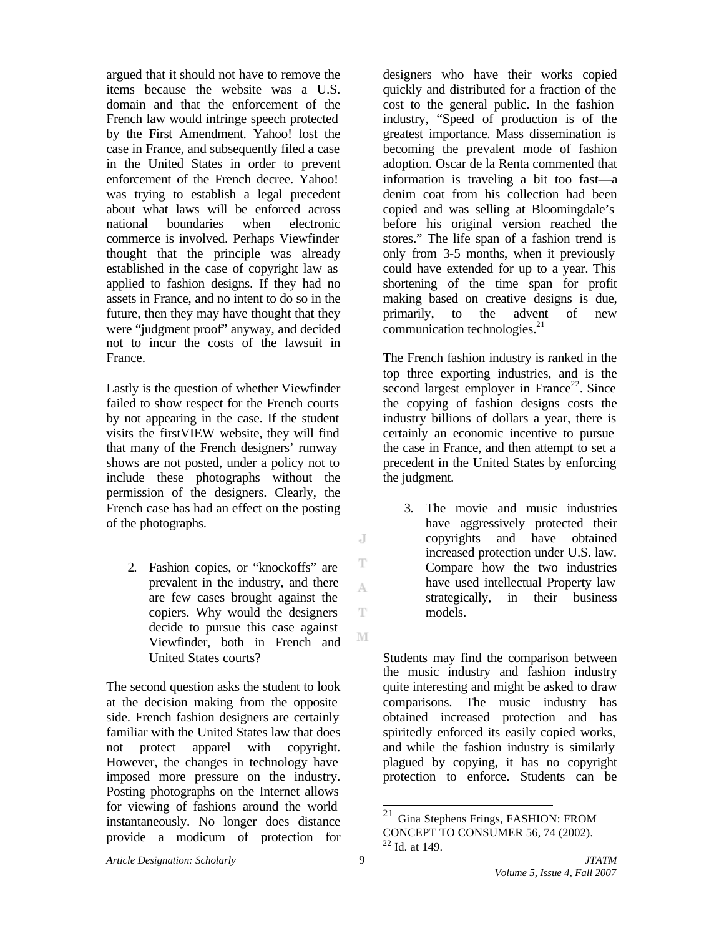argued that it should not have to remove the items because the website was a U.S. domain and that the enforcement of the French law would infringe speech protected by the First Amendment. Yahoo! lost the case in France, and subsequently filed a case in the United States in order to prevent enforcement of the French decree. Yahoo! was trying to establish a legal precedent about what laws will be enforced across national boundaries when electronic commerce is involved. Perhaps Viewfinder thought that the principle was already established in the case of copyright law as applied to fashion designs. If they had no assets in France, and no intent to do so in the future, then they may have thought that they were "judgment proof" anyway, and decided not to incur the costs of the lawsuit in France.

Lastly is the question of whether Viewfinder failed to show respect for the French courts by not appearing in the case. If the student visits the firstVIEW website, they will find that many of the French designers' runway shows are not posted, under a policy not to include these photographs without the permission of the designers. Clearly, the French case has had an effect on the posting of the photographs.

2. Fashion copies, or "knockoffs" are prevalent in the industry, and there are few cases brought against the copiers. Why would the designers decide to pursue this case against Viewfinder, both in French and United States courts?

The second question asks the student to look at the decision making from the opposite side. French fashion designers are certainly familiar with the United States law that does not protect apparel with copyright. However, the changes in technology have imposed more pressure on the industry. Posting photographs on the Internet allows for viewing of fashions around the world instantaneously. No longer does distance provide a modicum of protection for

designers who have their works copied quickly and distributed for a fraction of the cost to the general public. In the fashion industry, "Speed of production is of the greatest importance. Mass dissemination is becoming the prevalent mode of fashion adoption. Oscar de la Renta commented that information is traveling a bit too fast—a denim coat from his collection had been copied and was selling at Bloomingdale's before his original version reached the stores." The life span of a fashion trend is only from 3-5 months, when it previously could have extended for up to a year. This shortening of the time span for profit making based on creative designs is due, primarily, to the advent of new communication technologies. $2<sup>1</sup>$ 

The French fashion industry is ranked in the top three exporting industries, and is the second largest employer in France<sup>22</sup>. Since the copying of fashion designs costs the industry billions of dollars a year, there is certainly an economic incentive to pursue the case in France, and then attempt to set a precedent in the United States by enforcing the judgment.

3. The movie and music industries have aggressively protected their copyrights and have obtained increased protection under U.S. law. Compare how the two industries have used intellectual Property law strategically, in their business models.

Students may find the comparison between the music industry and fashion industry quite interesting and might be asked to draw comparisons. The music industry has obtained increased protection and has spiritedly enforced its easily copied works, and while the fashion industry is similarly plagued by copying, it has no copyright protection to enforce. Students can be

J

T

A

T

<sup>21</sup> Gina Stephens Frings, FASHION: FROM CONCEPT TO CONSUMER 56, 74 (2002).  $^{22}$  Id. at 149.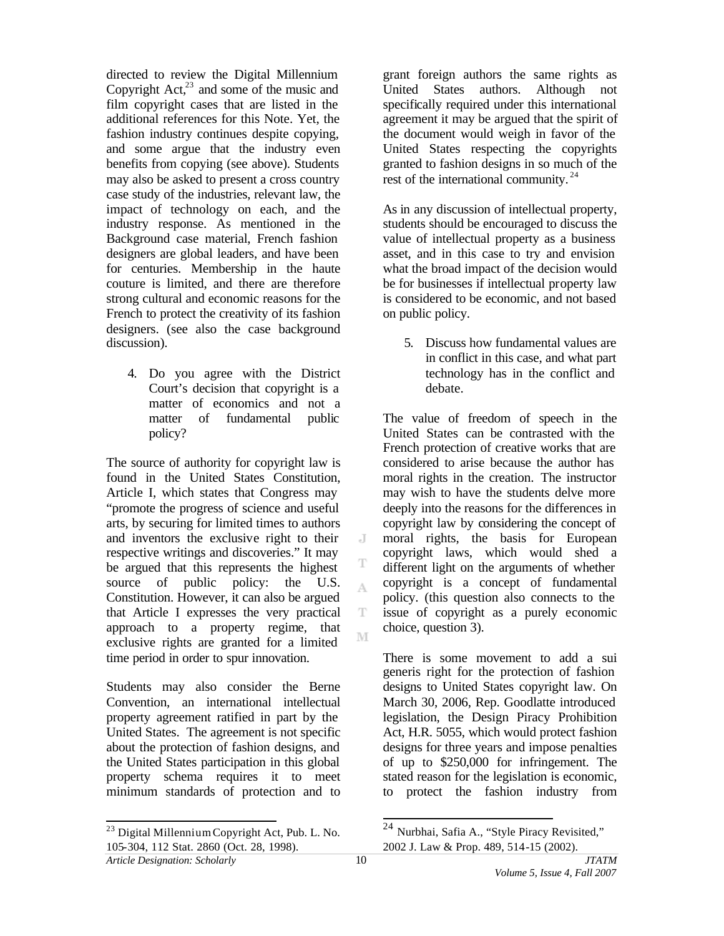directed to review the Digital Millennium Copyright  $Act<sub>1</sub><sup>23</sup>$  and some of the music and film copyright cases that are listed in the additional references for this Note. Yet, the fashion industry continues despite copying, and some argue that the industry even benefits from copying (see above). Students may also be asked to present a cross country case study of the industries, relevant law, the impact of technology on each, and the industry response. As mentioned in the Background case material, French fashion designers are global leaders, and have been for centuries. Membership in the haute couture is limited, and there are therefore strong cultural and economic reasons for the French to protect the creativity of its fashion designers. (see also the case background discussion).

4. Do you agree with the District Court's decision that copyright is a matter of economics and not a matter of fundamental public policy?

The source of authority for copyright law is found in the United States Constitution, Article I, which states that Congress may "promote the progress of science and useful arts, by securing for limited times to authors and inventors the exclusive right to their respective writings and discoveries." It may be argued that this represents the highest source of public policy: the U.S. Constitution. However, it can also be argued that Article I expresses the very practical approach to a property regime, that exclusive rights are granted for a limited time period in order to spur innovation.

Students may also consider the Berne Convention, an international intellectual property agreement ratified in part by the United States. The agreement is not specific about the protection of fashion designs, and the United States participation in this global property schema requires it to meet minimum standards of protection and to

agreement it may be argued that the spirit of the document would weigh in favor of the United States respecting the copyrights granted to fashion designs in so much of the rest of the international community.<sup>24</sup> As in any discussion of intellectual property, students should be encouraged to discuss the

value of intellectual property as a business asset, and in this case to try and envision what the broad impact of the decision would be for businesses if intellectual property law is considered to be economic, and not based on public policy.

grant foreign authors the same rights as United States authors. Although not specifically required under this international

5. Discuss how fundamental values are in conflict in this case, and what part technology has in the conflict and debate.

The value of freedom of speech in the United States can be contrasted with the French protection of creative works that are considered to arise because the author has moral rights in the creation. The instructor may wish to have the students delve more deeply into the reasons for the differences in copyright law by considering the concept of moral rights, the basis for European copyright laws, which would shed a different light on the arguments of whether copyright is a concept of fundamental policy. (this question also connects to the issue of copyright as a purely economic choice, question 3).

There is some movement to add a sui generis right for the protection of fashion designs to United States copyright law. On March 30, 2006, Rep. Goodlatte introduced legislation, the Design Piracy Prohibition Act, H.R. 5055, which would protect fashion designs for three years and impose penalties of up to \$250,000 for infringement. The stated reason for the legislation is economic, to protect the fashion industry from

l

 $\overline{J}$ 

T A

T M

 $\overline{a}$ 

 $^{23}$  Digital Millennium Copyright Act, Pub. L. No. 105-304, 112 Stat. 2860 (Oct. 28, 1998).

<sup>&</sup>lt;sup>24</sup> Nurbhai, Safia A., "Style Piracy Revisited," 2002 J. Law & Prop. 489, 514-15 (2002).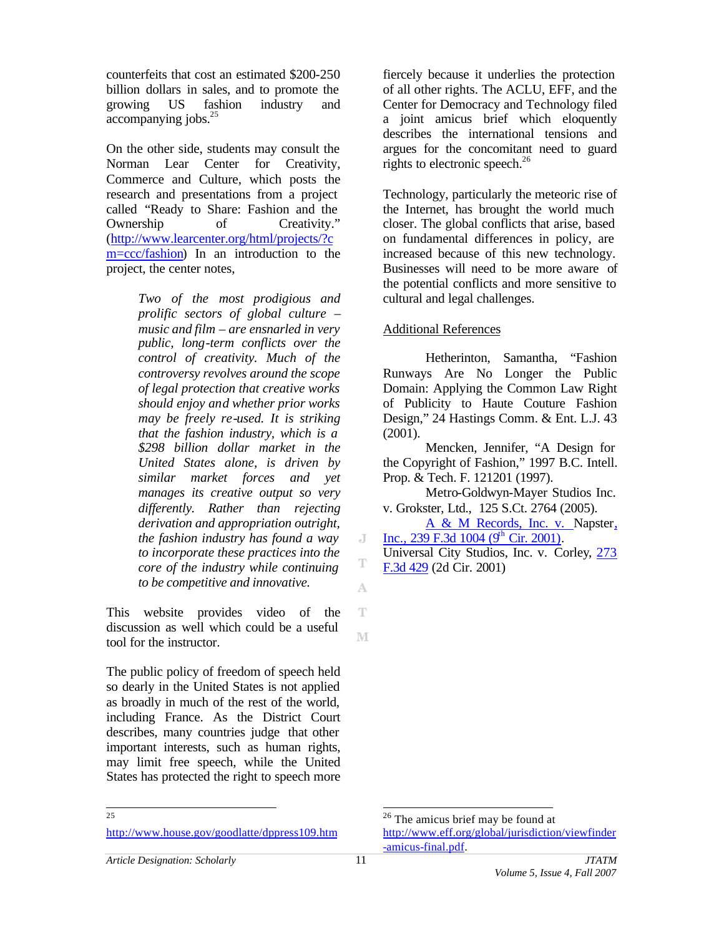counterfeits that cost an estimated \$200-250 billion dollars in sales, and to promote the growing US fashion industry and accompanying jobs.<sup>25</sup>

On the other side, students may consult the Norman Lear Center for Creativity, Commerce and Culture, which posts the research and presentations from a project called "Ready to Share: Fashion and the Ownership of Creativity." (http://www.learcenter.org/html/projects/?c m=ccc/fashion) In an introduction to the project, the center notes,

> *Two of the most prodigious and prolific sectors of global culture – music and film – are ensnarled in very public, long-term conflicts over the control of creativity. Much of the controversy revolves around the scope of legal protection that creative works should enjoy and whether prior works may be freely re-used. It is striking that the fashion industry, which is a \$298 billion dollar market in the United States alone, is driven by similar market forces and yet manages its creative output so very differently. Rather than rejecting derivation and appropriation outright, the fashion industry has found a way to incorporate these practices into the core of the industry while continuing to be competitive and innovative.*

This website provides video of the discussion as well which could be a useful tool for the instructor.

The public policy of freedom of speech held so dearly in the United States is not applied as broadly in much of the rest of the world, including France. As the District Court describes, many countries judge that other important interests, such as human rights, may limit free speech, while the United States has protected the right to speech more

http://www.house.gov/goodlatte/dppress109.htm

fiercely because it underlies the protection of all other rights. The ACLU, EFF, and the Center for Democracy and Technology filed a joint amicus brief which eloquently describes the international tensions and argues for the concomitant need to guard rights to electronic speech. $^{26}$ 

Technology, particularly the meteoric rise of the Internet, has brought the world much closer. The global conflicts that arise, based on fundamental differences in policy, are increased because of this new technology. Businesses will need to be more aware of the potential conflicts and more sensitive to cultural and legal challenges.

### Additional References

Hetherinton, Samantha, "Fashion Runways Are No Longer the Public Domain: Applying the Common Law Right of Publicity to Haute Couture Fashion Design," 24 Hastings Comm. & Ent. L.J. 43 (2001).

Mencken, Jennifer, "A Design for the Copyright of Fashion," 1997 B.C. Intell. Prop. & Tech. F. 121201 (1997).

Metro-Goldwyn-Mayer Studios Inc. v. Grokster, Ltd., 125 S.Ct. 2764 (2005).

A & M Records, Inc. v. Napster, Inc., 239 F.3d  $1004$  (9<sup>th</sup> Cir. 2001).

Universal City Studios, Inc. v. Corley, 273 F.3d 429 (2d Cir. 2001)

 $\overline{J}$ 

T A

T

M

l

 25

<sup>&</sup>lt;sup>26</sup> The amicus brief may be found at http://www.eff.org/global/jurisdiction/viewfinder -amicus-final.pdf.